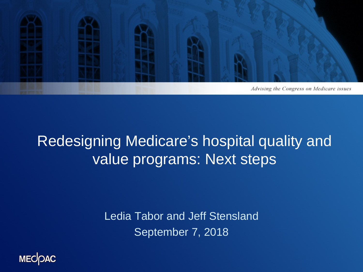

### Redesigning Medicare's hospital quality and value programs: Next steps

Ledia Tabor and Jeff Stensland September 7, 2018

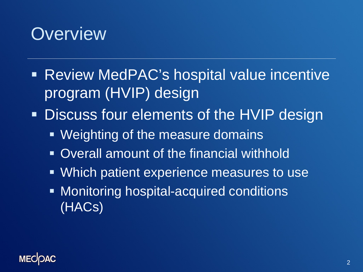### **Overview**

- Review MedPAC's hospital value incentive program (HVIP) design
- **Discuss four elements of the HVIP design** 
	- **Weighting of the measure domains**
	- Overall amount of the financial withhold
	- **Which patient experience measures to use**
	- **Monitoring hospital-acquired conditions** (HACs)

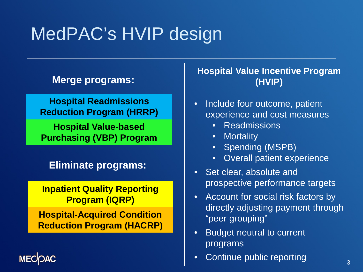# MedPAC's HVIP design

### **Merge programs:**

**Hospital Readmissions Reduction Program (HRRP)**

**Hospital Value-based Purchasing (VBP) Program**

**Eliminate programs:**

**Inpatient Quality Reporting Program (IQRP)**

**Hospital-Acquired Condition Reduction Program (HACRP)**

**MECK** 

#### **Hospital Value Incentive Program (HVIP)**

- Include four outcome, patient experience and cost measures
	- **Readmissions**
	- **Mortality**
	- Spending (MSPB)
	- Overall patient experience
- Set clear, absolute and prospective performance targets
- Account for social risk factors by directly adjusting payment through "peer grouping"
- Budget neutral to current programs
- Continue public reporting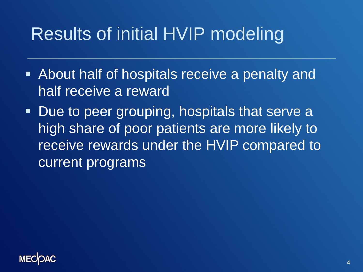### Results of initial HVIP modeling

- About half of hospitals receive a penalty and half receive a reward
- **Due to peer grouping, hospitals that serve a** high share of poor patients are more likely to receive rewards under the HVIP compared to current programs

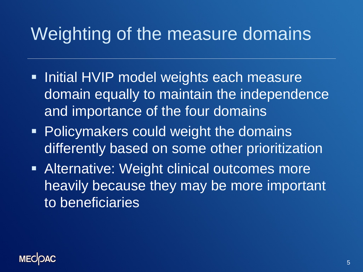### Weighting of the measure domains

- **Initial HVIP model weights each measure** domain equally to maintain the independence and importance of the four domains
- **Policymakers could weight the domains** differently based on some other prioritization
- **Alternative: Weight clinical outcomes more** heavily because they may be more important to beneficiaries

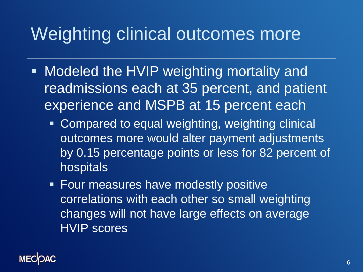### Weighting clinical outcomes more

- **Modeled the HVIP weighting mortality and** readmissions each at 35 percent, and patient experience and MSPB at 15 percent each
	- **Compared to equal weighting, weighting clinical** outcomes more would alter payment adjustments by 0.15 percentage points or less for 82 percent of hospitals
	- **Four measures have modestly positive** correlations with each other so small weighting changes will not have large effects on average HVIP scores

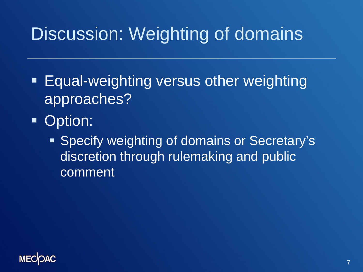## Discussion: Weighting of domains

- **Equal-weighting versus other weighting** approaches?
- **Option:** 
	- **Specify weighting of domains or Secretary's** discretion through rulemaking and public comment

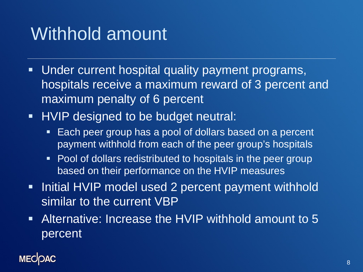### Withhold amount

- Under current hospital quality payment programs, hospitals receive a maximum reward of 3 percent and maximum penalty of 6 percent
- **HVIP designed to be budget neutral:** 
	- **Each peer group has a pool of dollars based on a percent** payment withhold from each of the peer group's hospitals
	- Pool of dollars redistributed to hospitals in the peer group based on their performance on the HVIP measures
- Initial HVIP model used 2 percent payment withhold similar to the current VBP
- Alternative: Increase the HVIP withhold amount to 5 percent

### **MECK**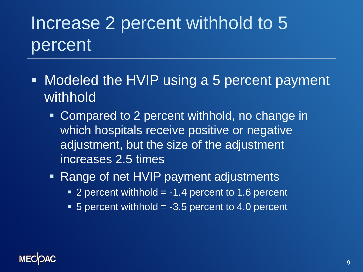# Increase 2 percent withhold to 5 percent

- **Modeled the HVIP using a 5 percent payment** withhold
	- **Compared to 2 percent withhold, no change in** which hospitals receive positive or negative adjustment, but the size of the adjustment increases 2.5 times
	- Range of net HVIP payment adjustments
		- $\blacksquare$  2 percent withhold  $=$  -1.4 percent to 1.6 percent
		- $\blacksquare$  5 percent withhold = -3.5 percent to 4.0 percent

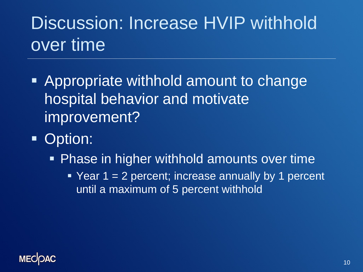# Discussion: Increase HVIP withhold over time

- Appropriate withhold amount to change hospital behavior and motivate improvement?
- **Option:** 
	- **Phase in higher withhold amounts over time** 
		- Year  $1 = 2$  percent; increase annually by 1 percent until a maximum of 5 percent withhold

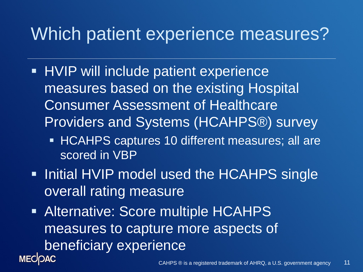### Which patient experience measures?

- **HVIP will include patient experience** measures based on the existing Hospital Consumer Assessment of Healthcare Providers and Systems (HCAHPS®) survey
	- **HCAHPS captures 10 different measures; all are** scored in VBP
- **Initial HVIP model used the HCAHPS single** overall rating measure
- **Alternative: Score multiple HCAHPS** measures to capture more aspects of beneficiary experience **MECOAC**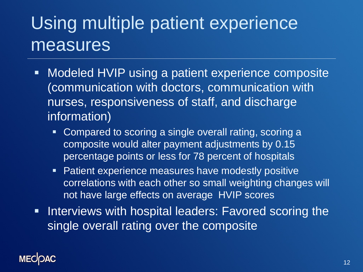# Using multiple patient experience measures

- Modeled HVIP using a patient experience composite (communication with doctors, communication with nurses, responsiveness of staff, and discharge information)
	- Compared to scoring a single overall rating, scoring a composite would alter payment adjustments by 0.15 percentage points or less for 78 percent of hospitals
	- **Patient experience measures have modestly positive** correlations with each other so small weighting changes will not have large effects on average HVIP scores
- **Interviews with hospital leaders: Favored scoring the** single overall rating over the composite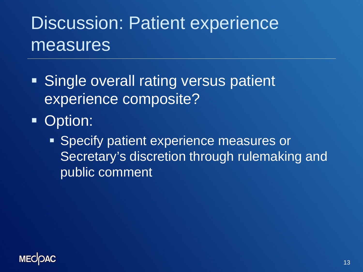# Discussion: Patient experience measures

- **Single overall rating versus patient** experience composite?
- **Option:** 
	- **Specify patient experience measures or** Secretary's discretion through rulemaking and public comment

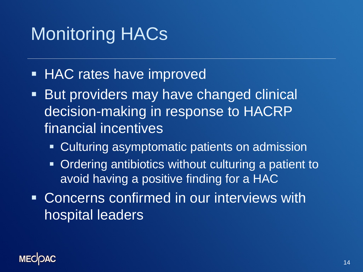# Monitoring HACs

- **HAC rates have improved**
- **But providers may have changed clinical** decision-making in response to HACRP financial incentives
	- Culturing asymptomatic patients on admission
	- Ordering antibiotics without culturing a patient to avoid having a positive finding for a HAC
- **EXCONCERTS CONFILTMED IN OUT INTERVIEWS WITH** hospital leaders

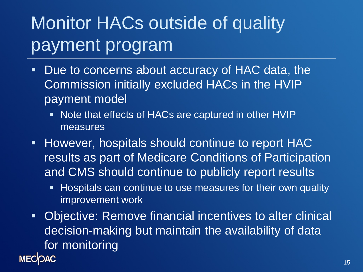# Monitor HACs outside of quality payment program

- **Due** to concerns about accuracy of HAC data, the Commission initially excluded HACs in the HVIP payment model
	- **Note that effects of HACs are captured in other HVIP** measures
- **However, hospitals should continue to report HAC** results as part of Medicare Conditions of Participation and CMS should continue to publicly report results
	- **Hospitals can continue to use measures for their own quality** improvement work
- **Objective: Remove financial incentives to alter clinical** decision-making but maintain the availability of data for monitoring **MECOAC**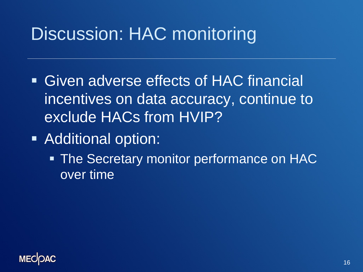# Discussion: HAC monitoring

- Given adverse effects of HAC financial incentives on data accuracy, continue to exclude HACs from HVIP?
- **Additional option:** 
	- **The Secretary monitor performance on HAC** over time